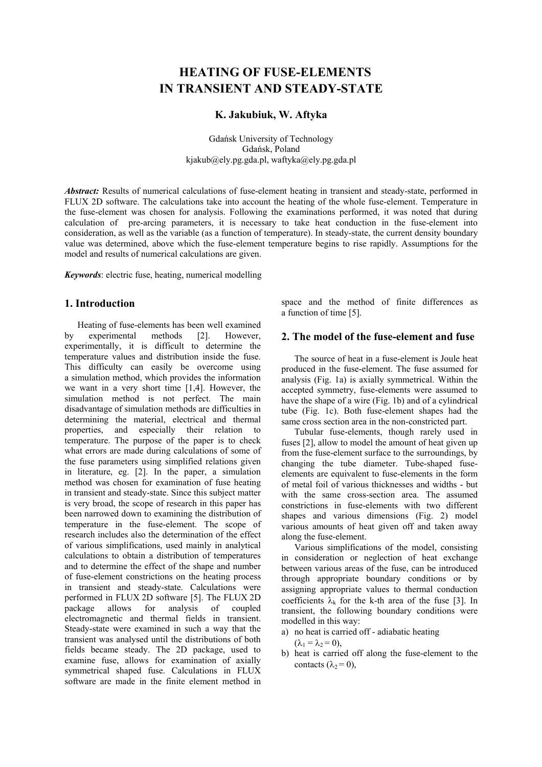# **HEATING OF FUSE-ELEMENTS IN TRANSIENT AND STEADY-STATE**

## **K. Jakubiuk, W. Aftyka**

Gdańsk University of Technology Gdańsk, Poland kjakub@ely.pg.gda.pl, waftyka@ely.pg.gda.pl

*Abstract:* Results of numerical calculations of fuse-element heating in transient and steady-state, performed in FLUX 2D software. The calculations take into account the heating of the whole fuse-element. Temperature in the fuse-element was chosen for analysis. Following the examinations performed, it was noted that during calculation of pre-arcing parameters, it is necessary to take heat conduction in the fuse-element into consideration, as well as the variable (as a function of temperature). In steady-state, the current density boundary value was determined, above which the fuse-element temperature begins to rise rapidly. Assumptions for the model and results of numerical calculations are given.

*Keywords*: electric fuse, heating, numerical modelling

### **1. Introduction**

Heating of fuse-elements has been well examined by experimental methods [2]. However, experimentally, it is difficult to determine the temperature values and distribution inside the fuse. This difficulty can easily be overcome using a simulation method, which provides the information we want in a very short time [1,4]. However, the simulation method is not perfect. The main disadvantage of simulation methods are difficulties in determining the material, electrical and thermal properties, and especially their relation to temperature. The purpose of the paper is to check what errors are made during calculations of some of the fuse parameters using simplified relations given in literature, eg. [2]. In the paper, a simulation method was chosen for examination of fuse heating in transient and steady-state. Since this subject matter is very broad, the scope of research in this paper has been narrowed down to examining the distribution of temperature in the fuse-element. The scope of research includes also the determination of the effect of various simplifications, used mainly in analytical calculations to obtain a distribution of temperatures and to determine the effect of the shape and number of fuse-element constrictions on the heating process in transient and steady-state. Calculations were performed in FLUX 2D software [5]. The FLUX 2D package allows for analysis of coupled electromagnetic and thermal fields in transient. Steady-state were examined in such a way that the transient was analysed until the distributions of both fields became steady. The 2D package, used to examine fuse, allows for examination of axially symmetrical shaped fuse. Calculations in FLUX software are made in the finite element method in

space and the method of finite differences as a function of time [5].

# **2. The model of the fuse-element and fuse**

The source of heat in a fuse-element is Joule heat produced in the fuse-element. The fuse assumed for analysis (Fig. 1a) is axially symmetrical. Within the accepted symmetry, fuse-elements were assumed to have the shape of a wire (Fig. 1b) and of a cylindrical tube (Fig. 1c). Both fuse-element shapes had the same cross section area in the non-constricted part.

Tubular fuse-elements, though rarely used in fuses [2], allow to model the amount of heat given up from the fuse-element surface to the surroundings, by changing the tube diameter. Tube-shaped fuseelements are equivalent to fuse-elements in the form of metal foil of various thicknesses and widths - but with the same cross-section area. The assumed constrictions in fuse-elements with two different shapes and various dimensions (Fig. 2) model various amounts of heat given off and taken away along the fuse-element.

Various simplifications of the model, consisting in consideration or neglection of heat exchange between various areas of the fuse, can be introduced through appropriate boundary conditions or by assigning appropriate values to thermal conduction coefficients  $\lambda_k$  for the k-th area of the fuse [3]. In transient, the following boundary conditions were modelled in this way:

a) no heat is carried off - adiabatic heating

 $(\lambda_1 = \lambda_2 = 0),$ 

b) heat is carried off along the fuse-element to the contacts  $(\lambda_2 = 0)$ ,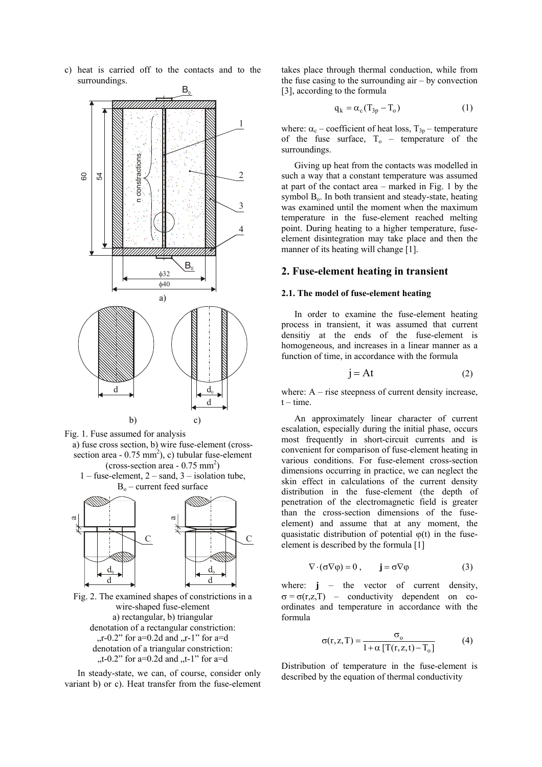c) heat is carried off to the contacts and to the surroundings.



- Fig. 1. Fuse assumed for analysis
- a) fuse cross section, b) wire fuse-element (crosssection area -  $0.75 \text{ mm}^2$ ), c) tubular fuse-element  $\left($ cross-section area - 0.75 mm<sup>2</sup> $\right)$  $1$  – fuse-element,  $2$  – sand,  $3$  – isolation tube.
	- $B<sub>o</sub>$  current feed surface



Fig. 2. The examined shapes of constrictions in a wire-shaped fuse-element a) rectangular, b) triangular denotation of a rectangular constriction:  $r_{\rm r}$ -0.2" for a=0.2d and  $r_{\rm r}$ -1" for a=d denotation of a triangular constriction:  $t_{\text{t}}$ -0.2" for a=0.2d and  $t_{\text{t}}$ -1" for a=d

In steady-state, we can, of course, consider only variant b) or c). Heat transfer from the fuse-element takes place through thermal conduction, while from the fuse casing to the surrounding  $air - by$  convection [3], according to the formula

$$
q_k = \alpha_c (T_{3p} - T_o)
$$
 (1)

where:  $\alpha_c$  – coefficient of heat loss,  $T_{3p}$  – temperature of the fuse surface,  $T_0$  – temperature of the surroundings.

Giving up heat from the contacts was modelled in such a way that a constant temperature was assumed at part of the contact area – marked in Fig. 1 by the symbol  $B<sub>o</sub>$ . In both transient and steady-state, heating was examined until the moment when the maximum temperature in the fuse-element reached melting point. During heating to a higher temperature, fuseelement disintegration may take place and then the manner of its heating will change [1].

#### **2. Fuse-element heating in transient**

### **2.1. The model of fuse-element heating**

In order to examine the fuse-element heating process in transient, it was assumed that current densitiy at the ends of the fuse-element is homogeneous, and increases in a linear manner as a function of time, in accordance with the formula

$$
j = At \t(2)
$$

where:  $A$  – rise steepness of current density increase,  $t - time$ .

An approximately linear character of current escalation, especially during the initial phase, occurs most frequently in short-circuit currents and is convenient for comparison of fuse-element heating in various conditions. For fuse-element cross-section dimensions occurring in practice, we can neglect the skin effect in calculations of the current density distribution in the fuse-element (the depth of penetration of the electromagnetic field is greater than the cross-section dimensions of the fuseelement) and assume that at any moment, the quasistatic distribution of potential  $\varphi(t)$  in the fuseelement is described by the formula [1]

$$
\nabla \cdot (\sigma \nabla \varphi) = 0 , \qquad \mathbf{j} = \sigma \nabla \varphi \tag{3}
$$

where:  $\mathbf{i}$  – the vector of current density,  $\sigma = \sigma(r,z,T)$  – conductivity dependent on coordinates and temperature in accordance with the formula

$$
\sigma(r, z, T) = \frac{\sigma_o}{1 + \alpha \left[ T(r, z, t) - T_o \right]}
$$
(4)

Distribution of temperature in the fuse-element is described by the equation of thermal conductivity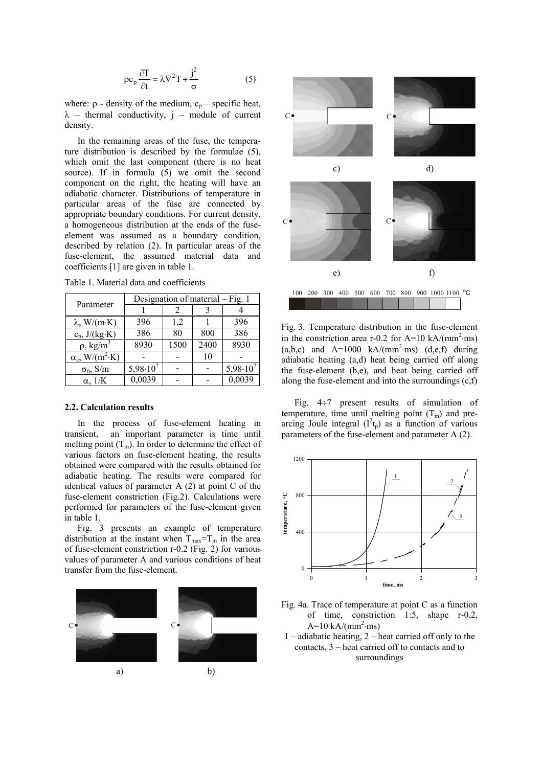$$
\rho c_p \frac{\partial T}{\partial t} = \lambda \nabla^2 T + \frac{j^2}{\sigma}
$$
 (5)

where:  $\rho$  - density of the medium,  $c_p$  – specific heat,  $\lambda$  – thermal conductivity, j – module of current density.

In the remaining areas of the fuse, the temperature distribution is described by the formulae (5), which omit the last component (there is no heat source). If in formula (5) we omit the second component on the right, the heating will have an adiabatic character. Distributions of temperature in particular areas of the fuse are connected by appropriate boundary conditions. For current density, a homogeneous distribution at the ends of the fuseelement was assumed as a boundary condition, described by relation (2). In particular areas of the fuse-element, the assumed material data and coefficients [1] are given in table 1.

Table 1. Material data and coefficients

| Parameter                          | Designation of material – Fig. 1 |      |      |               |
|------------------------------------|----------------------------------|------|------|---------------|
|                                    |                                  |      |      |               |
| $\lambda$ , W/(m·K)                | 396                              | 1,2  |      | 396           |
| $c_p$ , $J/(kg·K)$                 | 386                              | 80   | 800  | 386           |
| $\rho$ , kg/m <sup>3</sup>         | 8930                             | 1500 | 2400 | 8930          |
| $\alpha_c$ , W/(m <sup>2</sup> ·K) |                                  |      | 10   |               |
| $\sigma_0$ , S/m                   | $5,98.10^{7}$                    |      |      | $5,98.10^{7}$ |
| $\alpha$ , $1/K$                   | 0,0039                           |      |      | 0,0039        |

#### **2.2. Calculation results**

In the process of fuse-element heating in transient, an important parameter is time until melting point  $(T_m)$ . In order to determine the effect of various factors on fuse-element heating, the results obtained were compared with the results obtained for adiabatic heating. The results were compared for identical values of parameter A (2) at point C of the fuse-element constriction (Fig.2). Calculations were performed for parameters of the fuse-element given in table 1.

Fig. 3 presents an example of temperature distribution at the instant when  $T_{\text{max}}=T_m$  in the area of fuse-element constriction r-0.2 (Fig. 2) for various values of parameter A and various conditions of heat transfer from the fuse-element.





Fig. 3. Temperature distribution in the fuse-element in the constriction area r-0.2 for A=10 kA/(mm<sup>2</sup>·ms)  $(a,b,c)$  and  $A=1000$  kA/(mm<sup>2</sup>·ms) (d,e,f) during adiabatic heating (a,d) heat being carried off along the fuse-element (b,e), and heat being carried off along the fuse-element and into the surroundings (c,f)

Fig. 4÷7 present results of simulation of temperature, time until melting point  $(T_m)$  and prearcing Joule integral  $(I^2t_p)$  as a function of various parameters of the fuse-element and parameter A (2).



- Fig. 4a. Trace of temperature at point C as a function of time, constriction 1:5, shape r-0.2,  $A=10 \text{ kA/(mm}^2 \cdot \text{ms})$
- 1 adiabatic heating, 2 heat carried off only to the contacts, 3 – heat carried off to contacts and to surroundings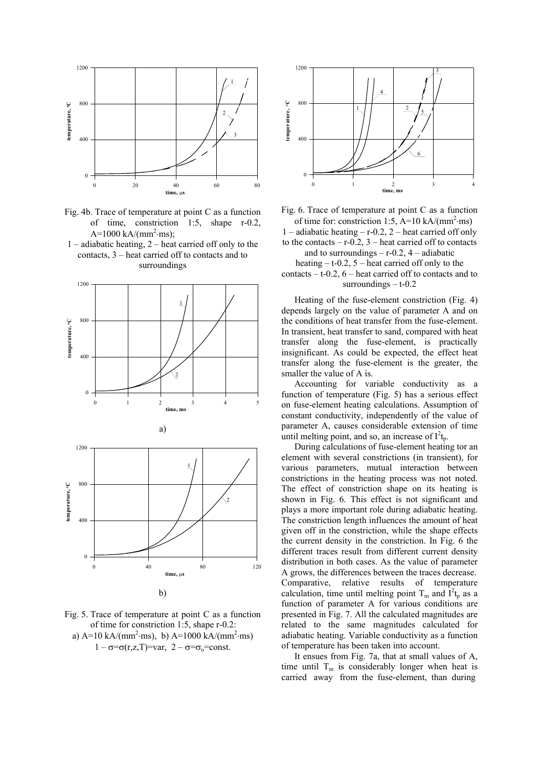

Fig. 4b. Trace of temperature at point C as a function of time, constriction 1:5, shape r-0.2,  $A=1000 \text{ kA/(mm}^2 \cdot \text{ms})$ ;

1 – adiabatic heating, 2 – heat carried off only to the contacts, 3 – heat carried off to contacts and to surroundings







Fig. 6. Trace of temperature at point C as a function of time for: constriction 1:5, A=10 kA/( $mm^2$ ·ms)

1 – adiabatic heating – r-0.2, 2 – heat carried off only to the contacts  $- r - 0.2$ ,  $3 -$  heat carried off to contacts

and to surroundings  $-$  r-0.2, 4 – adiabatic heating  $- t - 0.2$ , 5 – heat carried off only to the contacts  $- t - 0.2$ ,  $6 - \text{heat carried off}$  to contacts and to surroundings  $- t - 0.2$ 

Heating of the fuse-element constriction (Fig. 4) depends largely on the value of parameter A and on the conditions of heat transfer from the fuse-element. In transient, heat transfer to sand, compared with heat transfer along the fuse-element, is practically insignificant. As could be expected, the effect heat transfer along the fuse-element is the greater, the smaller the value of A is.

Accounting for variable conductivity as a function of temperature (Fig. 5) has a serious effect on fuse-element heating calculations. Assumption of constant conductivity, independently of the value of parameter A, causes considerable extension of time until melting point, and so, an increase of  $I^2t_p$ .

During calculations of fuse-element heating tor an element with several constrictions (in transient), for various parameters, mutual interaction between constrictions in the heating process was not noted. The effect of constriction shape on its heating is shown in Fig. 6. This effect is not significant and plays a more important role during adiabatic heating. The constriction length influences the amount of heat given off in the constriction, while the shape effects the current density in the constriction. In Fig. 6 the different traces result from different current density distribution in both cases. As the value of parameter A grows, the differences between the traces decrease. Comparative, relative results of temperature calculation, time until melting point  $T_m$  and  $I^2t_p$  as a function of parameter A for various conditions are presented in Fig. 7. All the calculated magnitudes are related to the same magnitudes calculated for adiabatic heating. Variable conductivity as a function of temperature has been taken into account.

It ensues from Fig. 7a, that at small values of A, time until  $T_m$  is considerably longer when heat is carried away from the fuse-element, than during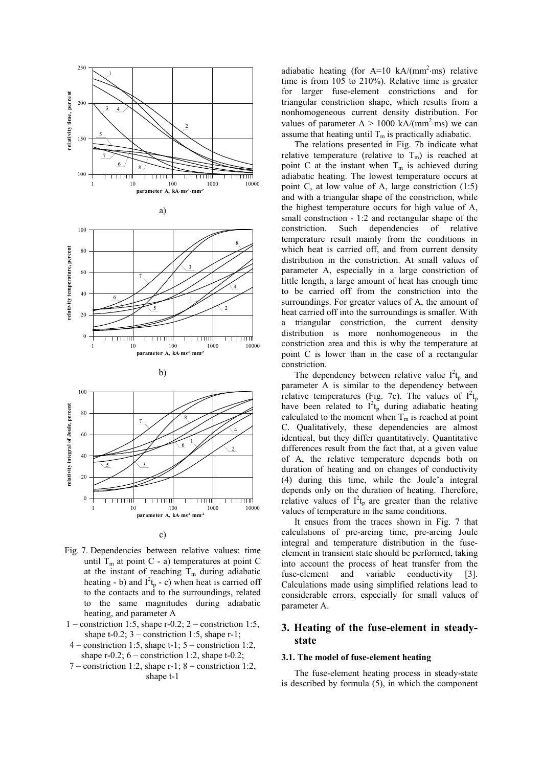



- Fig. 7. Dependencies between relative values: time until  $T_m$  at point C - a) temperatures at point C at the instant of reaching  $T_m$  during adiabatic heating - b) and  $I^2t_p$  - c) when heat is carried off to the contacts and to the surroundings, related to the same magnitudes during adiabatic heating, and parameter A
- 1 constriction 1:5, shape  $r-0.2$ ; 2 constriction 1:5, shape  $t-0.2$ ;  $3$  – constriction 1:5, shape r-1;
- 4 constriction 1:5, shape t-1; 5 constriction 1:2, shape  $r-0.2$ ;  $6$  – constriction 1:2, shape  $t-0.2$ ;
- 7 constriction 1:2, shape  $r-1$ ; 8 constriction 1:2, shape t-1

adiabatic heating (for  $A=10 \text{ kA/(mm}^2 \cdot \text{ms})$  relative time is from 105 to 210%). Relative time is greater for larger fuse-element constrictions and for triangular constriction shape, which results from a nonhomogeneous current density distribution. For values of parameter  $A > 1000 \text{ kA/(mm}^2 \cdot \text{ms})$  we can assume that heating until  $T_m$  is practically adiabatic.

The relations presented in Fig. 7b indicate what relative temperature (relative to  $T_m$ ) is reached at point C at the instant when  $T_m$  is achieved during adiabatic heating. The lowest temperature occurs at point C, at low value of A, large constriction (1:5) and with a triangular shape of the constriction, while the highest temperature occurs for high value of A, small constriction - 1:2 and rectangular shape of the constriction. Such dependencies of relative temperature result mainly from the conditions in which heat is carried off, and from current density distribution in the constriction. At small values of parameter A, especially in a large constriction of little length, a large amount of heat has enough time to be carried off from the constriction into the surroundings. For greater values of A, the amount of heat carried off into the surroundings is smaller. With a triangular constriction, the current density distribution is more nonhomogeneous in the constriction area and this is why the temperature at point C is lower than in the case of a rectangular constriction.

The dependency between relative value  $I^2t_p$  and parameter A is similar to the dependency between relative temperatures (Fig. 7c). The values of  $I^{2}t_{p}$ have been related to  $I^2t_p$  during adiabatic heating calculated to the moment when  $T_m$  is reached at point C. Qualitatively, these dependencies are almost identical, but they differ quantitatively. Quantitative differences result from the fact that, at a given value of A, the relative temperature depends both on duration of heating and on changes of conductivity (4) during this time, while the Joule'a integral depends only on the duration of heating. Therefore, relative values of  $I^2t_p$  are greater than the relative values of temperature in the same conditions.

It ensues from the traces shown in Fig. 7 that calculations of pre-arcing time, pre-arcing Joule integral and temperature distribution in the fuseelement in transient state should be performed, taking into account the process of heat transfer from the fuse-element and variable conductivity [3]. Calculations made using simplified relations lead to considerable errors, especially for small values of parameter A.

# **3. Heating of the fuse-element in steadystate**

#### **3.1. The model of fuse-element heating**

The fuse-element heating process in steady-state is described by formula (5), in which the component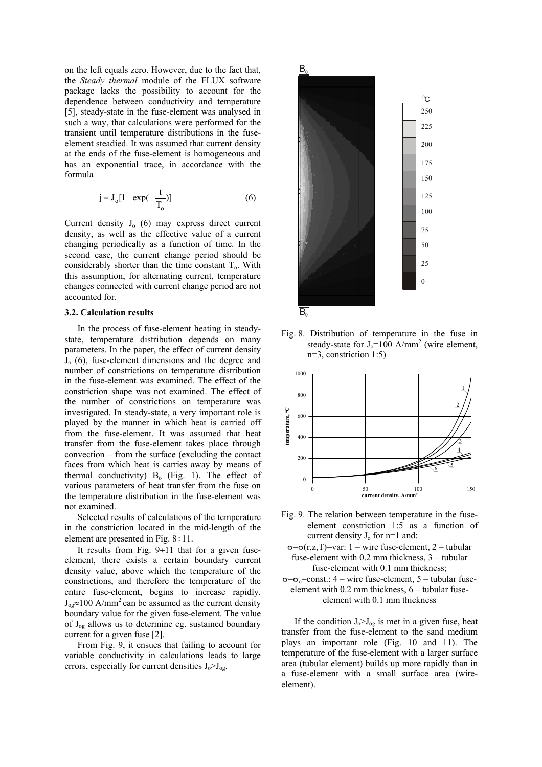on the left equals zero. However, due to the fact that, the *Steady thermal* module of the FLUX software package lacks the possibility to account for the dependence between conductivity and temperature [5], steady-state in the fuse-element was analysed in such a way, that calculations were performed for the transient until temperature distributions in the fuseelement steadied. It was assumed that current density at the ends of the fuse-element is homogeneous and has an exponential trace, in accordance with the formula

$$
j = J_o[1 - exp(-\frac{t}{T_o})]
$$
 (6)

Current density  $J_0$  (6) may express direct current density, as well as the effective value of a current changing periodically as a function of time. In the second case, the current change period should be considerably shorter than the time constant  $T<sub>o</sub>$ . With this assumption, for alternating current, temperature changes connected with current change period are not accounted for.

#### **3.2. Calculation results**

In the process of fuse-element heating in steadystate, temperature distribution depends on many parameters. In the paper, the effect of current density  $J<sub>o</sub>$  (6), fuse-element dimensions and the degree and number of constrictions on temperature distribution in the fuse-element was examined. The effect of the constriction shape was not examined. The effect of the number of constrictions on temperature was investigated. In steady-state, a very important role is played by the manner in which heat is carried off from the fuse-element. It was assumed that heat transfer from the fuse-element takes place through convection – from the surface (excluding the contact faces from which heat is carries away by means of thermal conductivity)  $B_0$  (Fig. 1). The effect of various parameters of heat transfer from the fuse on the temperature distribution in the fuse-element was not examined.

Selected results of calculations of the temperature in the constriction located in the mid-length of the element are presented in Fig. 8÷11.

It results from Fig.  $9 \div 11$  that for a given fuseelement, there exists a certain boundary current density value, above which the temperature of the constrictions, and therefore the temperature of the entire fuse-element, begins to increase rapidly.  $J_{\text{o}} \approx 100 \text{ A/mm}^2$  can be assumed as the current density boundary value for the given fuse-element. The value of  $J_{\text{og}}$  allows us to determine eg. sustained boundary current for a given fuse [2].

From Fig. 9, it ensues that failing to account for variable conductivity in calculations leads to large errors, especially for current densities  $J_0 > J_{og}$ .



Fig. 8. Distribution of temperature in the fuse in steady-state for  $J_0 = 100$  A/mm<sup>2</sup> (wire element, n=3, constriction 1:5)



- Fig. 9. The relation between temperature in the fuseelement constriction 1:5 as a function of current density  $J_0$  for n=1 and:
	- σ=σ(r,z,T)=var: 1 wire fuse-element, 2 tubular fuse-element with 0.2 mm thickness, 3 – tubular fuse-element with 0.1 mm thickness;
- $\sigma = \sigma_0 = \text{const.}$ : 4 wire fuse-element, 5 tubular fuseelement with 0.2 mm thickness, 6 – tubular fuseelement with 0.1 mm thickness

If the condition  $J_0 > J_{og}$  is met in a given fuse, heat transfer from the fuse-element to the sand medium plays an important role (Fig. 10 and 11). The temperature of the fuse-element with a larger surface area (tubular element) builds up more rapidly than in a fuse-element with a small surface area (wireelement).